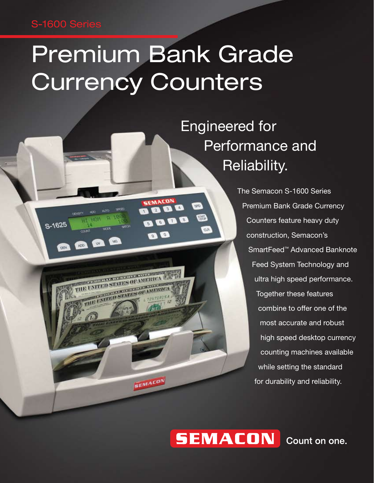### S-1600 Series

S-1625

 $004$ 

# Premium Bank Grade **Currency Counters**

SEMACON

 $\mathbf{a}$  o

SEMACON

 $M2$ 

**ELECTRIC ANTENNA DE ANTERIO** THE UNITED STATES OF AMER

 $W$ 

 $100 -$ 

Q O

8 a a

**GRD** 

**FOND** 

**RO** 

 Engineered for Performance and Reliability.

> The Semacon S-1600 Series Premium Bank Grade Currency Counters feature heavy duty construction, Semacon's SmartFeed™ Advanced Banknote Feed System Technology and ultra high speed performance. Together these features combine to offer one of the most accurate and robust high speed desktop currency counting machines available while setting the standard for durability and reliability.

## **SEMACON**

Count on one.